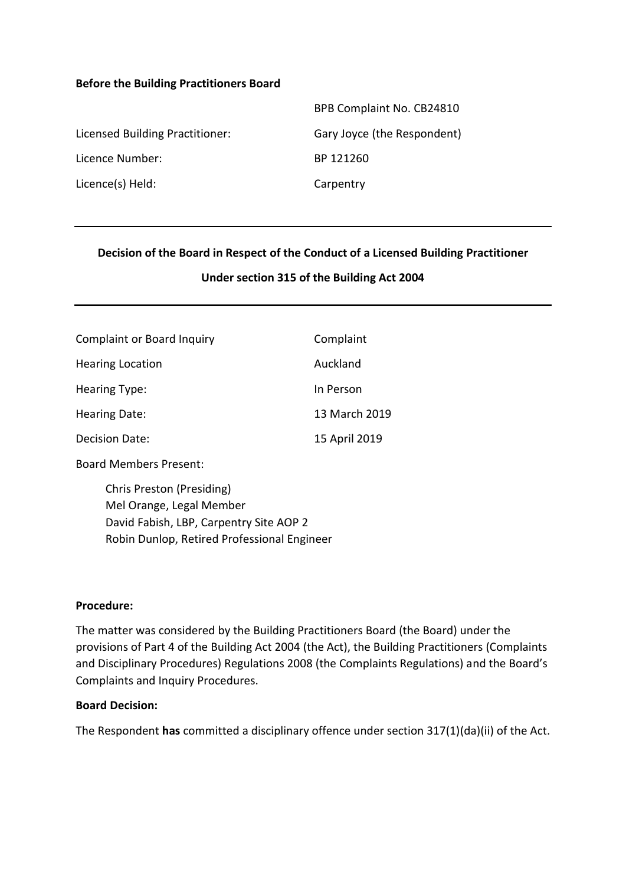#### **Before the Building Practitioners Board**

| BPB Complaint No. CB24810   |
|-----------------------------|
| Gary Joyce (the Respondent) |
| BP 121260                   |
| Carpentry                   |
|                             |

#### **Decision of the Board in Respect of the Conduct of a Licensed Building Practitioner**

#### **Under section 315 of the Building Act 2004**

| <b>Complaint or Board Inquiry</b> | Complaint     |
|-----------------------------------|---------------|
| <b>Hearing Location</b>           | Auckland      |
| Hearing Type:                     | In Person     |
| Hearing Date:                     | 13 March 2019 |
| <b>Decision Date:</b>             | 15 April 2019 |

Board Members Present:

 Chris Preston (Presiding) Mel Orange, Legal Member David Fabish, LBP, Carpentry Site AOP 2 Robin Dunlop, Retired Professional Engineer

#### **Procedure:**

The matter was considered by the Building Practitioners Board (the Board) under the provisions of Part 4 of the Building Act 2004 (the Act), the Building Practitioners (Complaints and Disciplinary Procedures) Regulations 2008 (the Complaints Regulations) and the Board's Complaints and Inquiry Procedures.

#### **Board Decision:**

The Respondent **has** committed a disciplinary offence under section 317(1)(da)(ii) of the Act.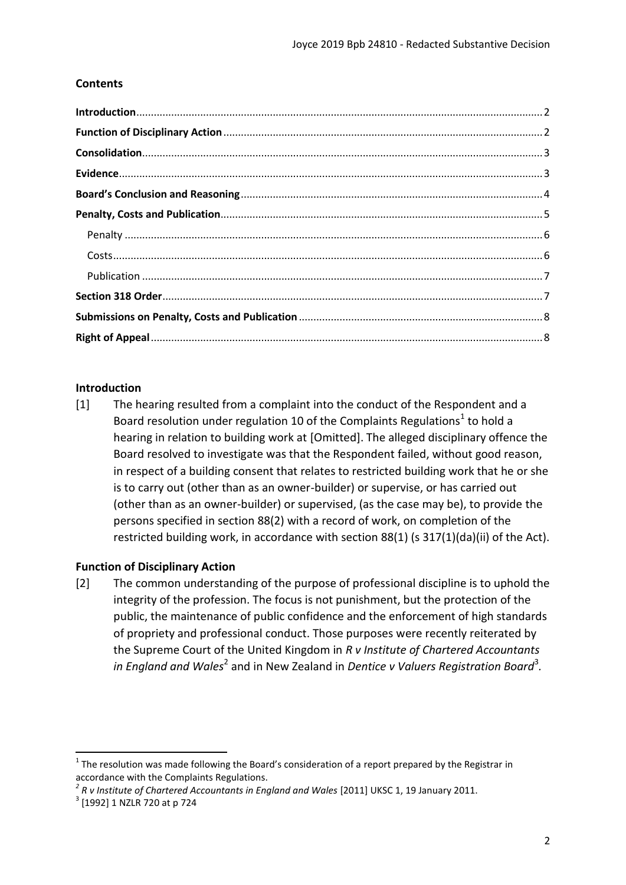## **Contents**

## <span id="page-1-0"></span>**Introduction**

[1] The hearing resulted from a complaint into the conduct of the Respondent and a Board resolution under regulation 10 of the Complaints Regulations<sup>1</sup> to hold a hearing in relation to building work at [Omitted]. The alleged disciplinary offence the Board resolved to investigate was that the Respondent failed, without good reason, in respect of a building consent that relates to restricted building work that he or she is to carry out (other than as an owner-builder) or supervise, or has carried out (other than as an owner-builder) or supervised, (as the case may be), to provide the persons specified in section 88(2) with a record of work, on completion of the restricted building work, in accordance with section 88(1) (s 317(1)(da)(ii) of the Act).

### <span id="page-1-1"></span>**Function of Disciplinary Action**

[2] The common understanding of the purpose of professional discipline is to uphold the integrity of the profession. The focus is not punishment, but the protection of the public, the maintenance of public confidence and the enforcement of high standards of propriety and professional conduct. Those purposes were recently reiterated by the Supreme Court of the United Kingdom in *R v Institute of Chartered Accountants in England and Wales*<sup>2</sup> and in New Zealand in *Dentice v Valuers Registration Board*<sup>3</sup>.

 $1$  The resolution was made following the Board's consideration of a report prepared by the Registrar in accordance with the Complaints Regulations.

<sup>&</sup>lt;sup>2</sup> R v Institute of Chartered Accountants in England and Wales [2011] UKSC 1, 19 January 2011.

<sup>3</sup> [1992] 1 NZLR 720 at p 724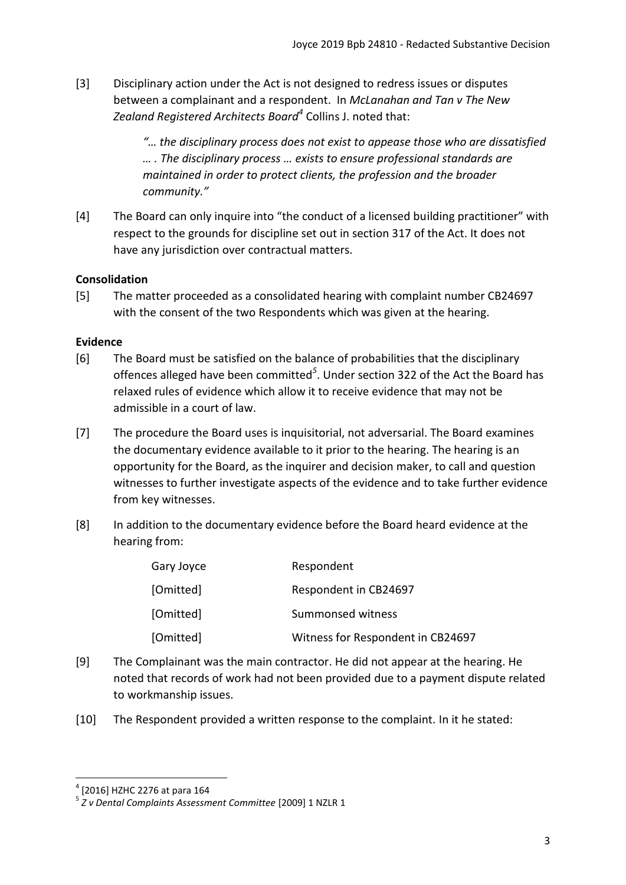[3] Disciplinary action under the Act is not designed to redress issues or disputes between a complainant and a respondent. In *McLanahan and Tan v The New Zealand Registered Architects Board<sup>4</sup>* Collins J. noted that:

> *"… the disciplinary process does not exist to appease those who are dissatisfied … . The disciplinary process … exists to ensure professional standards are maintained in order to protect clients, the profession and the broader community."*

[4] The Board can only inquire into "the conduct of a licensed building practitioner" with respect to the grounds for discipline set out in section 317 of the Act. It does not have any jurisdiction over contractual matters.

## <span id="page-2-0"></span>**Consolidation**

[5] The matter proceeded as a consolidated hearing with complaint number CB24697 with the consent of the two Respondents which was given at the hearing.

## <span id="page-2-1"></span>**Evidence**

- [6] The Board must be satisfied on the balance of probabilities that the disciplinary offences alleged have been committed*<sup>5</sup>* . Under section 322 of the Act the Board has relaxed rules of evidence which allow it to receive evidence that may not be admissible in a court of law.
- [7] The procedure the Board uses is inquisitorial, not adversarial. The Board examines the documentary evidence available to it prior to the hearing. The hearing is an opportunity for the Board, as the inquirer and decision maker, to call and question witnesses to further investigate aspects of the evidence and to take further evidence from key witnesses.
- [8] In addition to the documentary evidence before the Board heard evidence at the hearing from:

| Gary Joyce | Respondent                        |
|------------|-----------------------------------|
| [Omitted]  | Respondent in CB24697             |
| [Omitted]  | Summonsed witness                 |
| [Omitted]  | Witness for Respondent in CB24697 |

- [9] The Complainant was the main contractor. He did not appear at the hearing. He noted that records of work had not been provided due to a payment dispute related to workmanship issues.
- [10] The Respondent provided a written response to the complaint. In it he stated:

<sup>4</sup> [2016] HZHC 2276 at para 164

<sup>5</sup> *Z v Dental Complaints Assessment Committee* [2009] 1 NZLR 1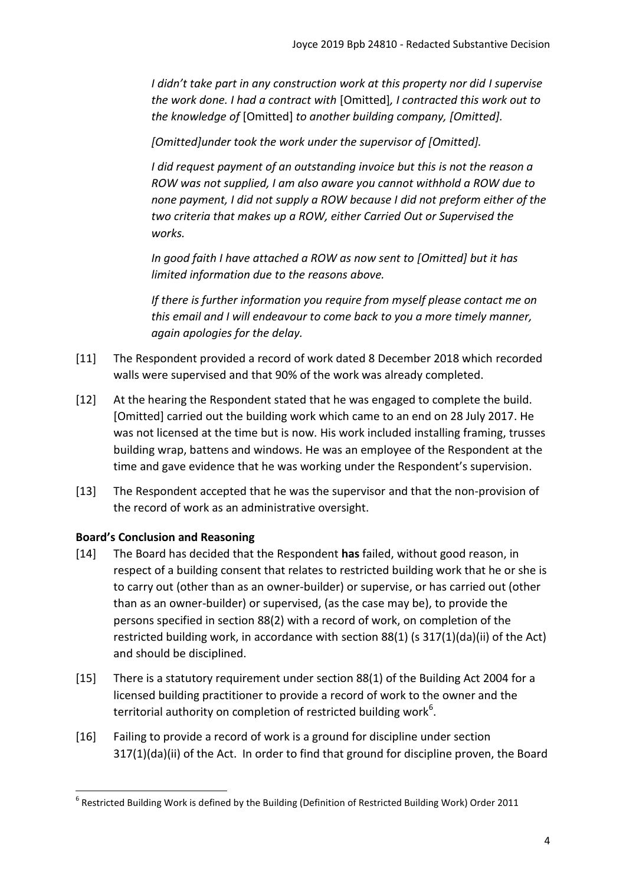*I* didn't take part in any construction work at this property nor did *I* supervise *the work done. I had a contract with* [Omitted]*, I contracted this work out to the knowledge of* [Omitted] *to another building company, [Omitted].* 

*[Omitted]under took the work under the supervisor of [Omitted].* 

*I did request payment of an outstanding invoice but this is not the reason a ROW was not supplied, I am also aware you cannot withhold a ROW due to none payment, I did not supply a ROW because I did not preform either of the two criteria that makes up a ROW, either Carried Out or Supervised the works.* 

*In good faith I have attached a ROW as now sent to [Omitted] but it has limited information due to the reasons above.* 

*If there is further information you require from myself please contact me on this email and I will endeavour to come back to you a more timely manner, again apologies for the delay.* 

- [11] The Respondent provided a record of work dated 8 December 2018 which recorded walls were supervised and that 90% of the work was already completed.
- [12] At the hearing the Respondent stated that he was engaged to complete the build. [Omitted] carried out the building work which came to an end on 28 July 2017. He was not licensed at the time but is now. His work included installing framing, trusses building wrap, battens and windows. He was an employee of the Respondent at the time and gave evidence that he was working under the Respondent's supervision.
- [13] The Respondent accepted that he was the supervisor and that the non-provision of the record of work as an administrative oversight.

# <span id="page-3-0"></span>**Board's Conclusion and Reasoning**

- [14] The Board has decided that the Respondent **has** failed, without good reason, in respect of a building consent that relates to restricted building work that he or she is to carry out (other than as an owner-builder) or supervise, or has carried out (other than as an owner-builder) or supervised, (as the case may be), to provide the persons specified in section 88(2) with a record of work, on completion of the restricted building work, in accordance with section 88(1) (s 317(1)(da)(ii) of the Act) and should be disciplined.
- [15] There is a statutory requirement under section 88(1) of the Building Act 2004 for a licensed building practitioner to provide a record of work to the owner and the territorial authority on completion of restricted building work<sup>6</sup>.
- [16] Failing to provide a record of work is a ground for discipline under section 317(1)(da)(ii) of the Act. In order to find that ground for discipline proven, the Board

 $^6$  Restricted Building Work is defined by the Building (Definition of Restricted Building Work) Order 2011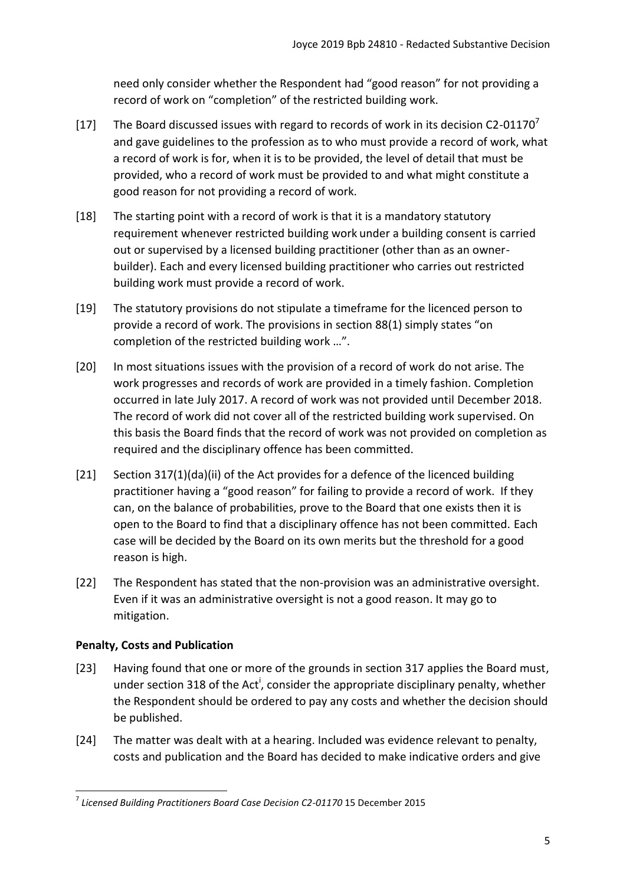need only consider whether the Respondent had "good reason" for not providing a record of work on "completion" of the restricted building work.

- [17] The Board discussed issues with regard to records of work in its decision C2-01170<sup>7</sup> and gave guidelines to the profession as to who must provide a record of work, what a record of work is for, when it is to be provided, the level of detail that must be provided, who a record of work must be provided to and what might constitute a good reason for not providing a record of work.
- [18] The starting point with a record of work is that it is a mandatory statutory requirement whenever restricted building work under a building consent is carried out or supervised by a licensed building practitioner (other than as an ownerbuilder). Each and every licensed building practitioner who carries out restricted building work must provide a record of work.
- [19] The statutory provisions do not stipulate a timeframe for the licenced person to provide a record of work. The provisions in section 88(1) simply states "on completion of the restricted building work …".
- [20] In most situations issues with the provision of a record of work do not arise. The work progresses and records of work are provided in a timely fashion. Completion occurred in late July 2017. A record of work was not provided until December 2018. The record of work did not cover all of the restricted building work supervised. On this basis the Board finds that the record of work was not provided on completion as required and the disciplinary offence has been committed.
- [21] Section 317(1)(da)(ii) of the Act provides for a defence of the licenced building practitioner having a "good reason" for failing to provide a record of work. If they can, on the balance of probabilities, prove to the Board that one exists then it is open to the Board to find that a disciplinary offence has not been committed. Each case will be decided by the Board on its own merits but the threshold for a good reason is high.
- [22] The Respondent has stated that the non-provision was an administrative oversight. Even if it was an administrative oversight is not a good reason. It may go to mitigation.

# <span id="page-4-0"></span>**Penalty, Costs and Publication**

- [23] Having found that one or more of the grounds in section 317 applies the Board must, under section 318 of the Act<sup>i</sup>, consider the appropriate disciplinary penalty, whether the Respondent should be ordered to pay any costs and whether the decision should be published.
- [24] The matter was dealt with at a hearing. Included was evidence relevant to penalty, costs and publication and the Board has decided to make indicative orders and give

**<sup>.</sup>** 7 *Licensed Building Practitioners Board Case Decision C2-01170* 15 December 2015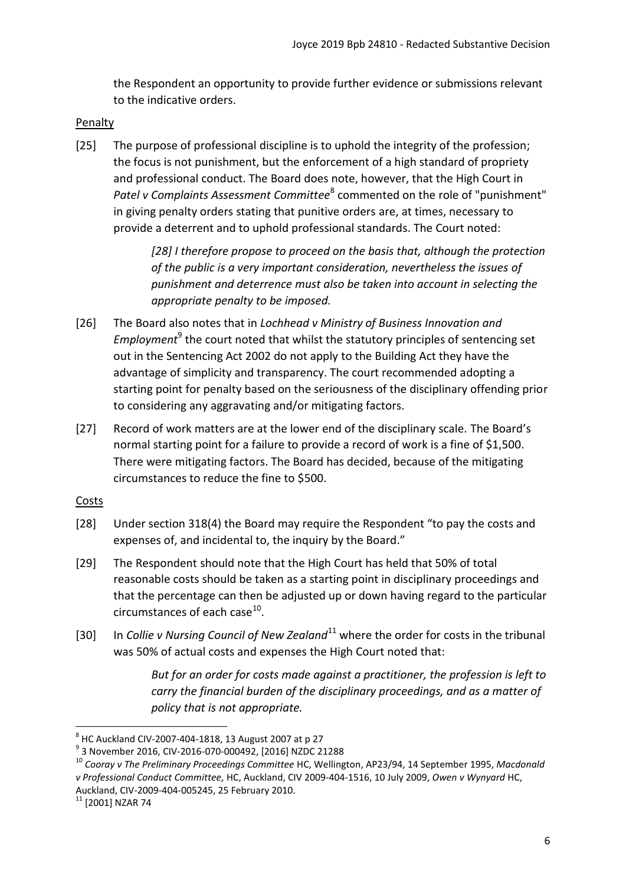the Respondent an opportunity to provide further evidence or submissions relevant to the indicative orders.

### <span id="page-5-0"></span>Penalty

[25] The purpose of professional discipline is to uphold the integrity of the profession; the focus is not punishment, but the enforcement of a high standard of propriety and professional conduct. The Board does note, however, that the High Court in Patel v Complaints Assessment Committee<sup>8</sup> commented on the role of "punishment" in giving penalty orders stating that punitive orders are, at times, necessary to provide a deterrent and to uphold professional standards. The Court noted:

> *[28] I therefore propose to proceed on the basis that, although the protection of the public is a very important consideration, nevertheless the issues of punishment and deterrence must also be taken into account in selecting the appropriate penalty to be imposed.*

- [26] The Board also notes that in *Lochhead v Ministry of Business Innovation and*  Employment<sup>9</sup> the court noted that whilst the statutory principles of sentencing set out in the Sentencing Act 2002 do not apply to the Building Act they have the advantage of simplicity and transparency. The court recommended adopting a starting point for penalty based on the seriousness of the disciplinary offending prior to considering any aggravating and/or mitigating factors.
- [27] Record of work matters are at the lower end of the disciplinary scale. The Board's normal starting point for a failure to provide a record of work is a fine of \$1,500. There were mitigating factors. The Board has decided, because of the mitigating circumstances to reduce the fine to \$500.

### <span id="page-5-1"></span>**Costs**

- [28] Under section 318(4) the Board may require the Respondent "to pay the costs and expenses of, and incidental to, the inquiry by the Board."
- [29] The Respondent should note that the High Court has held that 50% of total reasonable costs should be taken as a starting point in disciplinary proceedings and that the percentage can then be adjusted up or down having regard to the particular circumstances of each case $^{10}$ .
- [30] In *Collie v Nursing Council of New Zealand*<sup>11</sup> where the order for costs in the tribunal was 50% of actual costs and expenses the High Court noted that:

*But for an order for costs made against a practitioner, the profession is left to carry the financial burden of the disciplinary proceedings, and as a matter of policy that is not appropriate.* 

 $^8$  HC Auckland CIV-2007-404-1818, 13 August 2007 at p 27

<sup>9</sup> 3 November 2016, CIV-2016-070-000492, [2016] NZDC 21288

<sup>10</sup> *Cooray v The Preliminary Proceedings Committee* HC, Wellington, AP23/94, 14 September 1995, *Macdonald v Professional Conduct Committee,* HC, Auckland, CIV 2009-404-1516, 10 July 2009, *Owen v Wynyard* HC, Auckland, CIV-2009-404-005245, 25 February 2010.

 $11$  [2001] NZAR 74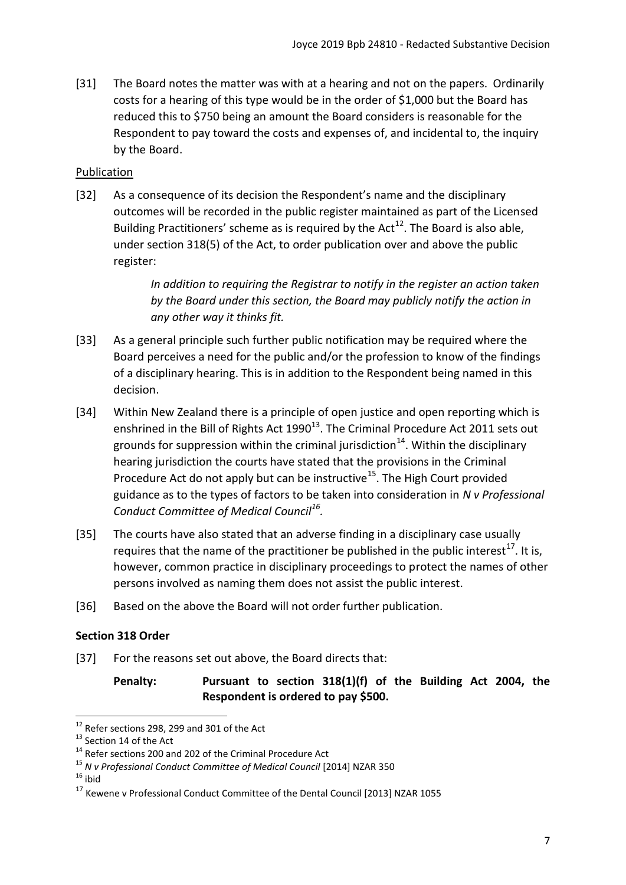[31] The Board notes the matter was with at a hearing and not on the papers. Ordinarily costs for a hearing of this type would be in the order of \$1,000 but the Board has reduced this to \$750 being an amount the Board considers is reasonable for the Respondent to pay toward the costs and expenses of, and incidental to, the inquiry by the Board.

## <span id="page-6-0"></span>Publication

[32] As a consequence of its decision the Respondent's name and the disciplinary outcomes will be recorded in the public register maintained as part of the Licensed Building Practitioners' scheme as is required by the Act<sup>12</sup>. The Board is also able, under section 318(5) of the Act, to order publication over and above the public register:

> *In addition to requiring the Registrar to notify in the register an action taken by the Board under this section, the Board may publicly notify the action in any other way it thinks fit.*

- [33] As a general principle such further public notification may be required where the Board perceives a need for the public and/or the profession to know of the findings of a disciplinary hearing. This is in addition to the Respondent being named in this decision.
- [34] Within New Zealand there is a principle of open justice and open reporting which is enshrined in the Bill of Rights Act  $1990^{13}$ . The Criminal Procedure Act 2011 sets out grounds for suppression within the criminal jurisdiction<sup>14</sup>. Within the disciplinary hearing jurisdiction the courts have stated that the provisions in the Criminal Procedure Act do not apply but can be instructive<sup>15</sup>. The High Court provided guidance as to the types of factors to be taken into consideration in *N v Professional Conduct Committee of Medical Council<sup>16</sup> .*
- [35] The courts have also stated that an adverse finding in a disciplinary case usually requires that the name of the practitioner be published in the public interest<sup>17</sup>. It is, however, common practice in disciplinary proceedings to protect the names of other persons involved as naming them does not assist the public interest.
- [36] Based on the above the Board will not order further publication.

### <span id="page-6-1"></span>**Section 318 Order**

[37] For the reasons set out above, the Board directs that:

**Penalty: Pursuant to section 318(1)(f) of the Building Act 2004, the Respondent is ordered to pay \$500.** 

<sup>&</sup>lt;sup>12</sup> Refer sections 298, 299 and 301 of the Act

<sup>&</sup>lt;sup>13</sup> Section 14 of the Act

<sup>&</sup>lt;sup>14</sup> Refer sections 200 and 202 of the Criminal Procedure Act

<sup>15</sup> *N v Professional Conduct Committee of Medical Council* [2014] NZAR 350

 $16$  ibid

<sup>&</sup>lt;sup>17</sup> Kewene v Professional Conduct Committee of the Dental Council [2013] NZAR 1055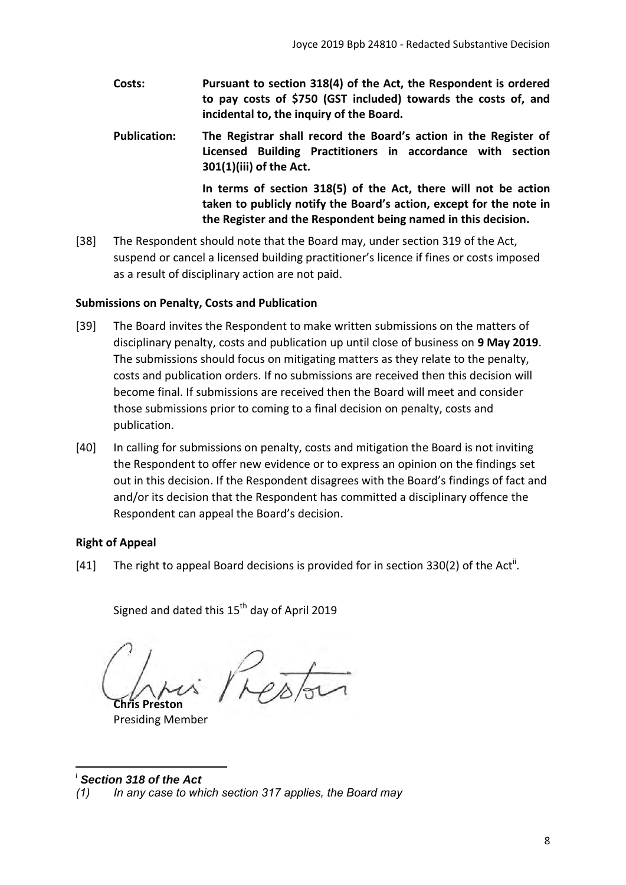- **Costs: Pursuant to section 318(4) of the Act, the Respondent is ordered to pay costs of \$750 (GST included) towards the costs of, and incidental to, the inquiry of the Board.**
- **Publication: The Registrar shall record the Board's action in the Register of Licensed Building Practitioners in accordance with section 301(1)(iii) of the Act.**

**In terms of section 318(5) of the Act, there will not be action taken to publicly notify the Board's action, except for the note in the Register and the Respondent being named in this decision.** 

[38] The Respondent should note that the Board may, under section 319 of the Act, suspend or cancel a licensed building practitioner's licence if fines or costs imposed as a result of disciplinary action are not paid.

# <span id="page-7-0"></span>**Submissions on Penalty, Costs and Publication**

- [39] The Board invites the Respondent to make written submissions on the matters of disciplinary penalty, costs and publication up until close of business on **9 May 2019**. The submissions should focus on mitigating matters as they relate to the penalty, costs and publication orders. If no submissions are received then this decision will become final. If submissions are received then the Board will meet and consider those submissions prior to coming to a final decision on penalty, costs and publication.
- [40] In calling for submissions on penalty, costs and mitigation the Board is not inviting the Respondent to offer new evidence or to express an opinion on the findings set out in this decision. If the Respondent disagrees with the Board's findings of fact and and/or its decision that the Respondent has committed a disciplinary offence the Respondent can appeal the Board's decision.

# <span id="page-7-1"></span>**Right of Appeal**

[41] The right to appeal Board decisions is provided for in section 330(2) of the Act<sup>ii</sup>.

Signed and dated this  $15<sup>th</sup>$  day of April 2019

**Chris Preston**

Presiding Member

 $\overline{a}$ <sup>i</sup> *Section 318 of the Act* 

*<sup>(1)</sup> In any case to which section 317 applies, the Board may*